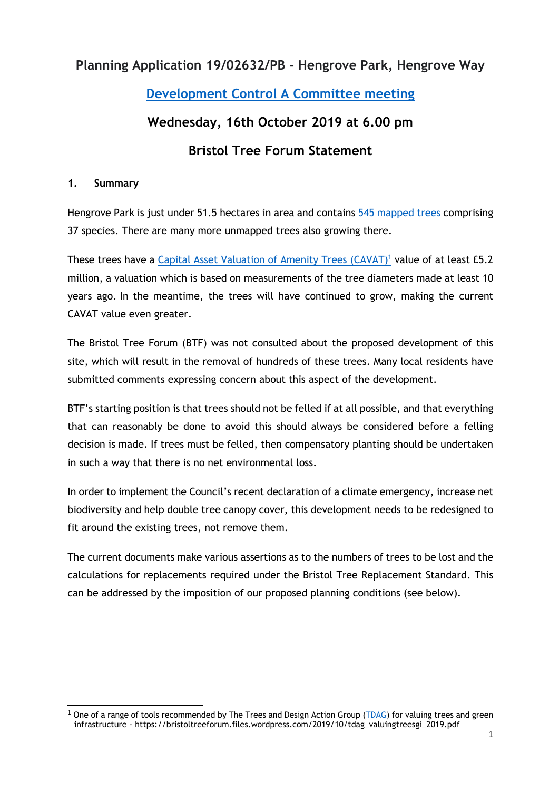## **Planning Application 19/02632/PB - Hengrove Park, Hengrove Way**

## **[Development Control A Committee](https://democracy.bristol.gov.uk/mgCommitteeDetails.aspx?ID=138) meeting**

#### **Wednesday, 16th October 2019 at 6.00 pm**

## **Bristol Tree Forum Statement**

#### **1. Summary**

Hengrove Park is just under 51.5 hectares in area and contains [545 mapped trees](http://bristoltrees.space/Tree/sitecode/HENGPA) comprising 37 species. There are many more unmapped trees also growing there.

These trees have a [Capital Asset Valuation of Amenity Trees](https://www.ltoa.org.uk/resources/cavat) (CAVAT)<sup>1</sup> value of at least £5.2 million, a valuation which is based on measurements of the tree diameters made at least 10 years ago. In the meantime, the trees will have continued to grow, making the current CAVAT value even greater.

The Bristol Tree Forum (BTF) was not consulted about the proposed development of this site, which will result in the removal of hundreds of these trees. Many local residents have submitted comments expressing concern about this aspect of the development.

BTF's starting position is that trees should not be felled if at all possible, and that everything that can reasonably be done to avoid this should always be considered before a felling decision is made. If trees must be felled, then compensatory planting should be undertaken in such a way that there is no net environmental loss.

In order to implement the Council's recent declaration of a climate emergency, increase net biodiversity and help double tree canopy cover, this development needs to be redesigned to fit around the existing trees, not remove them.

The current documents make various assertions as to the numbers of trees to be lost and the calculations for replacements required under the Bristol Tree Replacement Standard. This can be addressed by the imposition of our proposed planning conditions (see below).

<sup>&</sup>lt;sup>1</sup> One of a range of tools recommended by The Trees and Design Action Group [\(TDAG\)](http://www.tdag.org.uk/) for valuing trees and green infrastructure - https://bristoltreeforum.files.wordpress.com/2019/10/tdag\_valuingtreesgi\_2019.pdf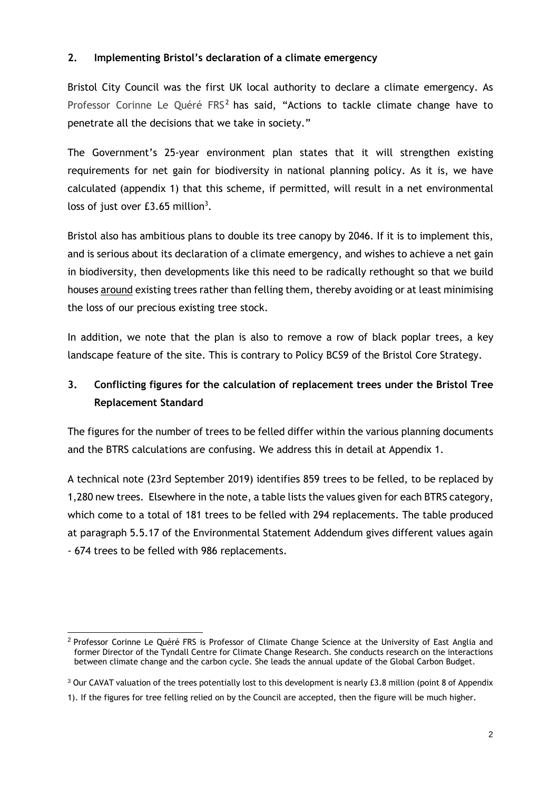#### **2. Implementing Bristol's declaration of a climate emergency**

Bristol City Council was the first UK local authority to declare a climate emergency. As Professor Corinne Le Quéré  $FRS<sup>2</sup>$  has said, "Actions to tackle climate change have to penetrate all the decisions that we take in society."

The Government's 25-year environment plan states that it will strengthen existing requirements for net gain for biodiversity in national planning policy. As it is, we have calculated (appendix 1) that this scheme, if permitted, will result in a net environmental loss of just over  $£3.65$  million<sup>3</sup>.

Bristol also has ambitious plans to [double its tree canopy by 2046. I](https://bristolgreencapital.org/new-ambitious-target-launched-double-city-tree-canopy-cover-2050/)f it is to implement this, and is serious about its declaration of a climate emergency, and wishes to achieve a net gain in biodiversity, then developments like this need to be radically rethought so that we build houses around existing trees rather than felling them, thereby avoiding or at least minimising the loss of our precious existing tree stock.

In addition, we note that the plan is also to remove a row of black poplar trees, a key landscape feature of the site. This is contrary to Policy BCS9 of the Bristol Core Strategy.

## **3. Conflicting figures for the calculation of replacement trees under the Bristol Tree Replacement Standard**

The figures for the number of trees to be felled differ within the various planning documents and the BTRS calculations are confusing. We address this in detail at Appendix 1.

A technical note (23rd September 2019) identifies 859 trees to be felled, to be replaced by 1,280 new trees. Elsewhere in the note, a table lists the values given for each BTRS category, which come to a total of 181 trees to be felled with 294 replacements. The table produced at paragraph 5.5.17 of the Environmental Statement Addendum gives different values again - 674 trees to be felled with 986 replacements.

<sup>&</sup>lt;sup>2</sup> Professor Corinne Le Quéré FRS is Professor of Climate Change Science at the University of East Anglia and former Director of the Tyndall Centre for Climate Change Research. She conducts research on the interactions between climate change and the carbon cycle. She leads the annual update of the Global Carbon Budget.

<sup>&</sup>lt;sup>3</sup> Our CAVAT valuation of the trees potentially lost to this development is nearly £3.8 million (point 8 of Appendix

<sup>1).</sup> If the figures for tree felling relied on by the Council are accepted, then the figure will be much higher.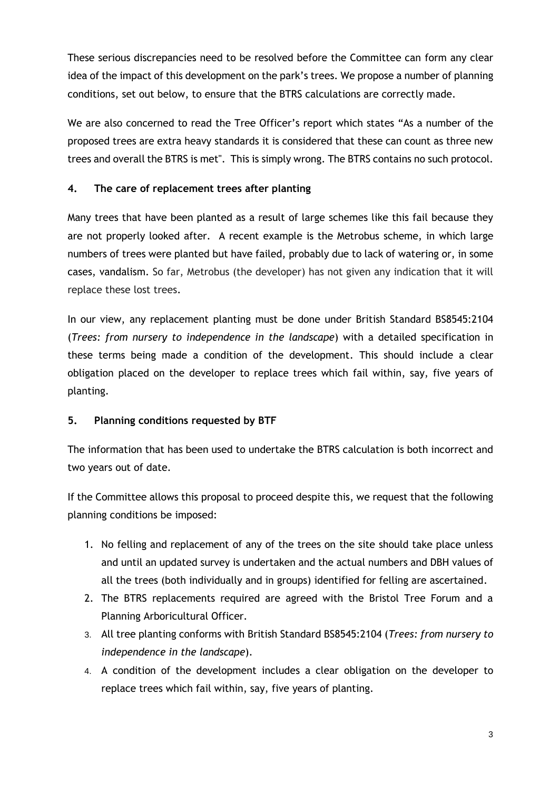These serious discrepancies need to be resolved before the Committee can form any clear idea of the impact of this development on the park's trees. We propose a number of planning conditions, set out below, to ensure that the BTRS calculations are correctly made.

We are also concerned to read the Tree Officer's report which states "As a number of the proposed trees are extra heavy standards it is considered that these can count as three new trees and overall the BTRS is met". This is simply wrong. The BTRS contains no such protocol.

#### **4. The care of replacement trees after planting**

Many trees that have been planted as a result of large schemes like this fail because they are not properly looked after. A recent example is the Metrobus scheme, in which large numbers of trees were planted but have failed, probably due to lack of watering or, in some cases, vandalism. So far, Metrobus (the developer) has not given any indication that it will replace these lost trees.

In our view, any replacement planting must be done under British Standard BS8545:2104 (*Trees: from nursery to independence in the landscape*) with a detailed specification in these terms being made a condition of the development. This should include a clear obligation placed on the developer to replace trees which fail within, say, five years of planting.

#### **5. Planning conditions requested by BTF**

The information that has been used to undertake the BTRS calculation is both incorrect and two years out of date.

If the Committee allows this proposal to proceed despite this, we request that the following planning conditions be imposed:

- 1. No felling and replacement of any of the trees on the site should take place unless and until an updated survey is undertaken and the actual numbers and DBH values of all the trees (both individually and in groups) identified for felling are ascertained.
- 2. The BTRS replacements required are agreed with the Bristol Tree Forum and a Planning Arboricultural Officer.
- 3. All tree planting conforms with British Standard BS8545:2104 (*Trees: from nursery to independence in the landscape*).
- 4. A condition of the development includes a clear obligation on the developer to replace trees which fail within, say, five years of planting.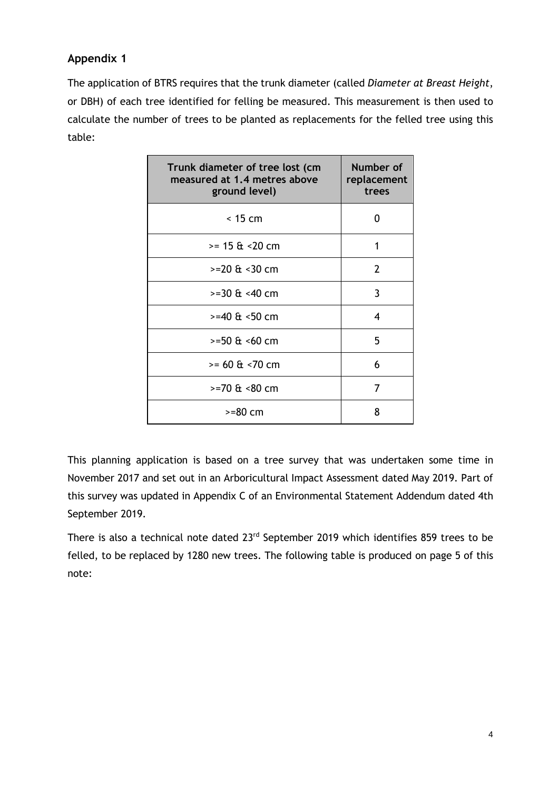#### **Appendix 1**

The application of BTRS requires that the trunk diameter (called *Diameter at Breast Height*, or DBH) of each tree identified for felling be measured. This measurement is then used to calculate the number of trees to be planted as replacements for the felled tree using this table:

| Trunk diameter of tree lost (cm<br>measured at 1.4 metres above<br>ground level) | Number of<br>replacement<br>trees |
|----------------------------------------------------------------------------------|-----------------------------------|
| $<$ 15 cm                                                                        | O                                 |
| $= 15 \text{ ft} < 20 \text{ cm}$                                                | 1                                 |
| $>=20 \text{ ft} < 30 \text{ cm}$                                                | 2                                 |
| $>=30$ & $< 40$ cm                                                               | 3                                 |
| >=40 & <50 cm                                                                    | 4                                 |
| $>=50$ & <60 cm                                                                  | 5                                 |
| $= 60 \text{ ft} < 70 \text{ cm}$                                                | 6                                 |
| $>=70$ & $< 80$ cm                                                               | 7                                 |
| $>=80$ cm                                                                        | 8                                 |

This planning application is based on a tree survey that was undertaken some time in November 2017 and set out in an Arboricultural Impact Assessment dated May 2019. Part of this survey was updated in Appendix C of an Environmental Statement Addendum dated 4th September 2019.

There is also a technical note dated 23<sup>rd</sup> September 2019 which identifies 859 trees to be felled, to be replaced by 1280 new trees. The following table is produced on page 5 of this note: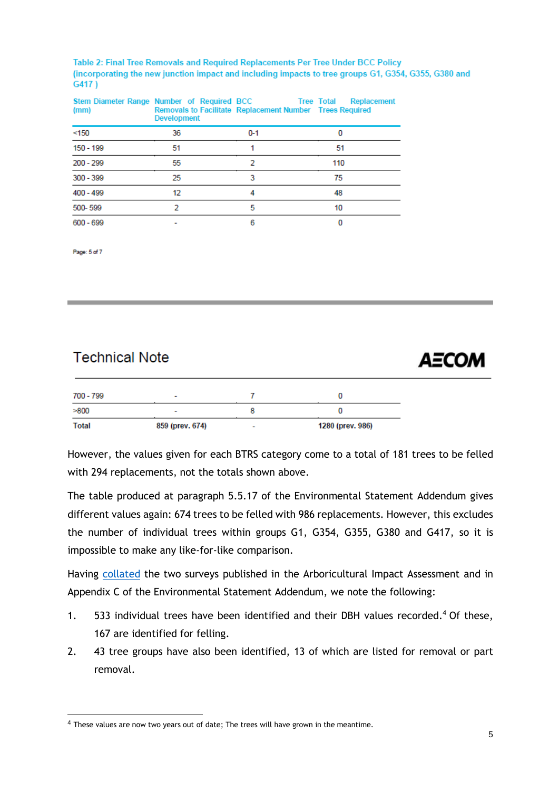Table 2: Final Tree Removals and Required Replacements Per Tree Under BCC Policy (incorporating the new junction impact and including impacts to tree groups G1, G354, G355, G380 and G417)

| (mm)        | Stem Diameter Range Number of Required BCC Tree Total Replacement<br><b>Development</b> | Removals to Facilitate Replacement Number Trees Required |     |
|-------------|-----------------------------------------------------------------------------------------|----------------------------------------------------------|-----|
| < 150       | 36                                                                                      | $0 - 1$                                                  |     |
| 150 - 199   | 51                                                                                      |                                                          | 51  |
| 200 - 299   | 55                                                                                      |                                                          | 110 |
| $300 - 399$ | 25                                                                                      | 3                                                        | 75  |
| $400 - 499$ | 12                                                                                      |                                                          | 48  |
| 500-599     |                                                                                         | 5                                                        | 10  |
| $600 - 699$ |                                                                                         | 6                                                        |     |

Page: 5 of 7

## **Technical Note**

# **AECOM**

| 700 - 799 | ٠               |                          |                  |
|-----------|-----------------|--------------------------|------------------|
| >800      | -               |                          |                  |
| Total     | 859 (prev. 674) | $\overline{\phantom{a}}$ | 1280 (prev. 986) |

However, the values given for each BTRS category come to a total of 181 trees to be felled with 294 replacements, not the totals shown above.

The table produced at paragraph 5.5.17 of the Environmental Statement Addendum gives different values again: 674 trees to be felled with 986 replacements. However, this excludes the number of individual trees within groups G1, G354, G355, G380 and G417, so it is impossible to make any like-for-like comparison.

Having [collated](https://bristoltreeforum.files.wordpress.com/2019/10/hengrove-tree-survey-data-1.xlsx) the two surveys published in the Arboricultural Impact Assessment and in Appendix C of the Environmental Statement Addendum, we note the following:

- 1. 533 individual trees have been identified and their DBH values recorded. <sup>4</sup> Of these, 167 are identified for felling.
- 2. 43 tree groups have also been identified, 13 of which are listed for removal or part removal.

<sup>&</sup>lt;sup>4</sup> These values are now two years out of date; The trees will have grown in the meantime.